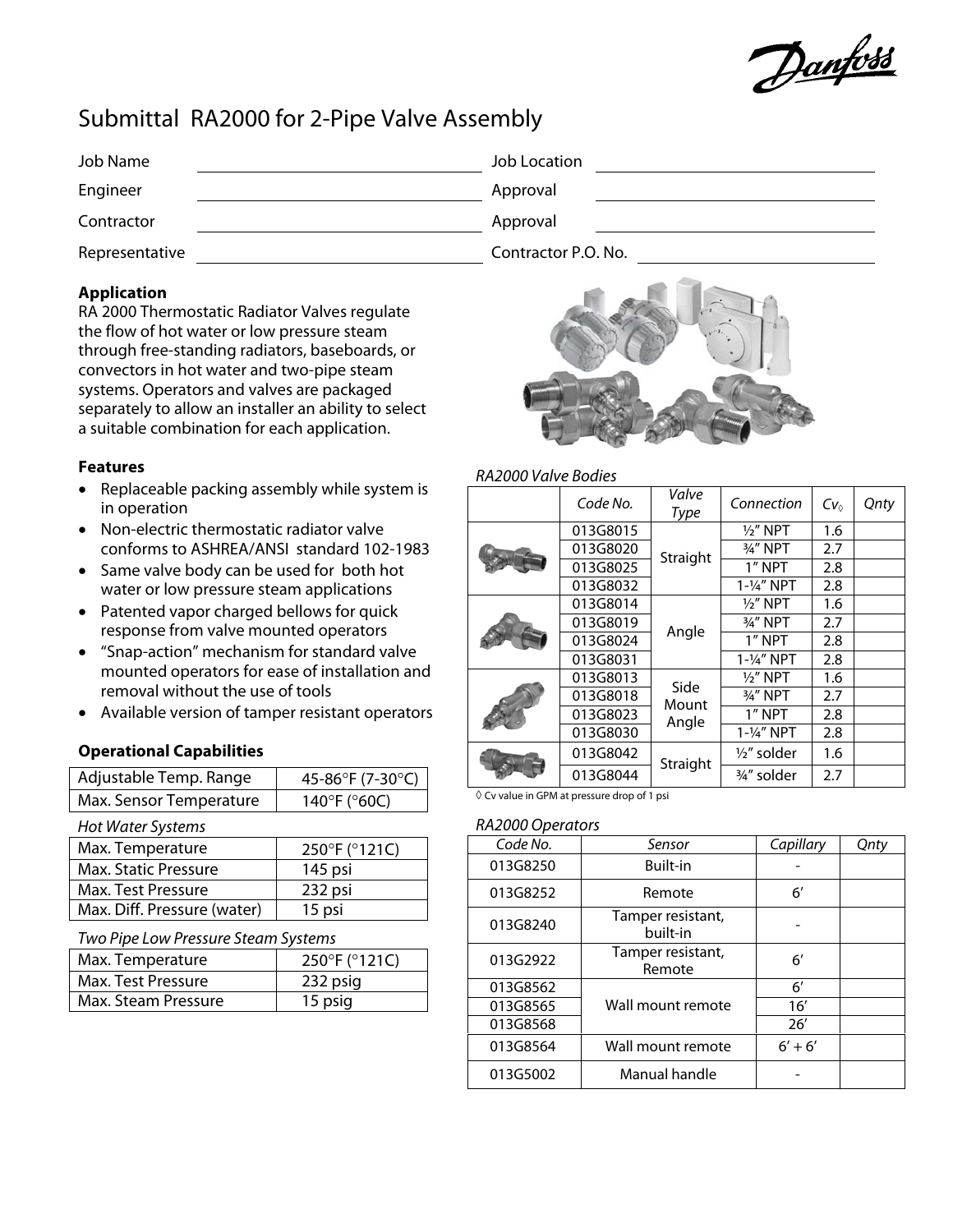Danfoss

# Submittal RA2000 for 2-Pipe Valve Assembly

| Job Name       | Job Location        |
|----------------|---------------------|
| Engineer       | Approval            |
| Contractor     | Approval            |
| Representative | Contractor P.O. No. |

# **Application**

RA 2000 Thermostatic Radiator Valves regulate the flow of hot water or low pressure steam through free-standing radiators, baseboards, or convectors in hot water and two-pipe steam systems. Operators and valves are packaged separately to allow an installer an ability to select a suitable combination for each application.

## **Features**

- Replaceable packing assembly while system is in operation
- Non-electric thermostatic radiator valve conforms to ASHREA/ANSI standard 102-1983
- Same valve body can be used for both hot water or low pressure steam applications
- Patented vapor charged bellows for quick response from valve mounted operators
- "Snap-action" mechanism for standard valve mounted operators for ease of installation and removal without the use of tools
- Available version of tamper resistant operators

# **Operational Capabilities**

| Adjustable Temp. Range  | 45-86°F (7-30°C) |
|-------------------------|------------------|
| Max. Sensor Temperature | 140°F (°60C)     |

Hot Water Systems

| Max. Temperature            | 250°F (°121C) |
|-----------------------------|---------------|
| Max. Static Pressure        | 145 psi       |
| Max. Test Pressure          | 232 psi       |
| Max. Diff. Pressure (water) | 15 psi        |

Two Pipe Low Pressure Steam Systems

| Max. Temperature    | 250°F (°121C) |
|---------------------|---------------|
| Max. Test Pressure  | 232 psig      |
| Max. Steam Pressure | 15 psig       |



## RA2000 Valve Bodies

|  | Code No. | Valve<br>Type          | Connection            | $Cv_0$ | Qnty |
|--|----------|------------------------|-----------------------|--------|------|
|  | 013G8015 |                        | $1/2$ " NPT           | 1.6    |      |
|  | 013G8020 | Straight               | 3/4" NPT              | 2.7    |      |
|  | 013G8025 |                        | 1" NPT                | 2.8    |      |
|  | 013G8032 |                        | 1-1/4" NPT            | 2.8    |      |
|  | 013G8014 | Angle                  | $1/2$ " NPT           | 1.6    |      |
|  | 013G8019 |                        | 3/4" NPT              | 2.7    |      |
|  | 013G8024 |                        | 1" NPT                | 2.8    |      |
|  | 013G8031 |                        | $1 - \frac{1}{4}$ NPT | 2.8    |      |
|  | 013G8013 | Side<br>Mount<br>Angle | $1/2$ " NPT           | 1.6    |      |
|  | 013G8018 |                        | 3/4" NPT              | 2.7    |      |
|  | 013G8023 |                        | 1" NPT                | 2.8    |      |
|  | 013G8030 |                        | $1 - \frac{1}{4}$ NPT | 2.8    |      |
|  | 013G8042 | Straight               | $\frac{1}{2}$ solder  | 1.6    |      |
|  | 013G8044 |                        | 3/4" solder           | 2.7    |      |

◊ Cv value in GPM at pressure drop of 1 psi

#### RA2000 Operators

| Code No. | Sensor                        | Capillary    | Qnty |
|----------|-------------------------------|--------------|------|
| 013G8250 | <b>Built-in</b>               |              |      |
| 013G8252 | Remote                        | 6′           |      |
| 013G8240 | Tamper resistant,<br>built-in |              |      |
| 013G2922 | Tamper resistant,<br>Remote   | 6′           |      |
| 013G8562 |                               | $6^{\prime}$ |      |
| 013G8565 | Wall mount remote             | 16'          |      |
| 013G8568 |                               | 26'          |      |
| 013G8564 | Wall mount remote             | $6' + 6'$    |      |
| 013G5002 | Manual handle                 |              |      |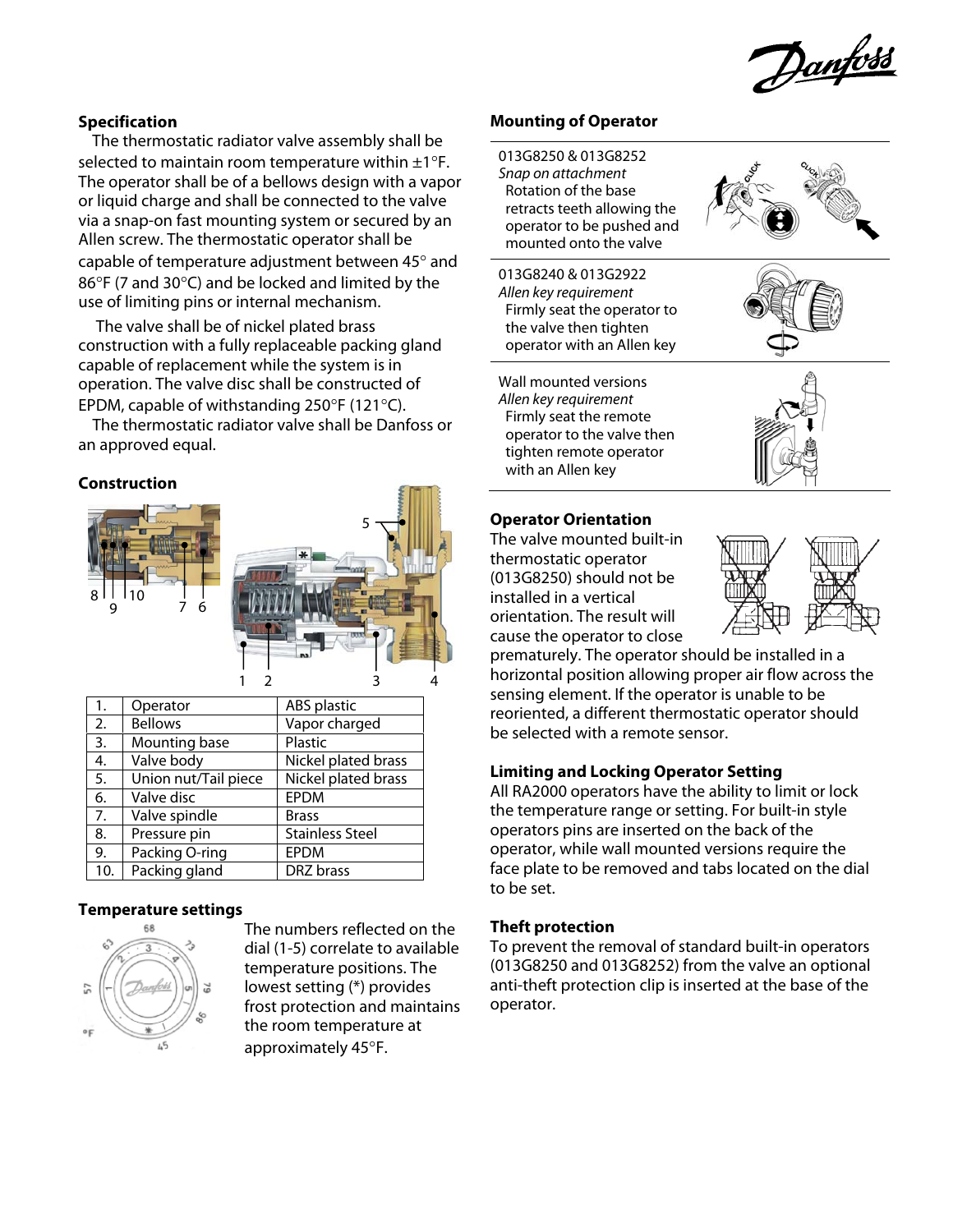Danfoss

## **Specification**

The thermostatic radiator valve assembly shall be selected to maintain room temperature within  $\pm 1^{\circ}$ F. The operator shall be of a bellows design with a vapor or liquid charge and shall be connected to the valve via a snap-on fast mounting system or secured by an Allen screw. The thermostatic operator shall be capable of temperature adjustment between 45° and 86°F (7 and 30°C) and be locked and limited by the use of limiting pins or internal mechanism.

 The valve shall be of nickel plated brass construction with a fully replaceable packing gland capable of replacement while the system is in operation. The valve disc shall be constructed of EPDM, capable of withstanding 250°F (121°C).

The thermostatic radiator valve shall be Danfoss or an approved equal.

#### **Construction**



|     |                      |                        | 4 |
|-----|----------------------|------------------------|---|
| 1.  | Operator             | ABS plastic            |   |
| 2.  | <b>Bellows</b>       | Vapor charged          |   |
| 3.  | Mounting base        | Plastic                |   |
| 4.  | Valve body           | Nickel plated brass    |   |
| 5.  | Union nut/Tail piece | Nickel plated brass    |   |
| 6.  | Valve disc           | <b>EPDM</b>            |   |
| 7.  | Valve spindle        | <b>Brass</b>           |   |
| 8.  | Pressure pin         | <b>Stainless Steel</b> |   |
| 9.  | Packing O-ring       | EPDM                   |   |
| 10. | Packing gland        | DRZ brass              |   |

#### **Temperature settings**



The numbers reflected on the dial (1-5) correlate to available temperature positions. The lowest setting (\*) provides frost protection and maintains the room temperature at approximately 45°F.

5

#### **Mounting of Operator**

013G8250 & 013G8252 Snap on attachment Rotation of the base retracts teeth allowing the operator to be pushed and mounted onto the valve

013G8240 & 013G2922 Allen key requirement Firmly seat the operator to the valve then tighten operator with an Allen key



Wall mounted versions Allen key requirement Firmly seat the remote operator to the valve then tighten remote operator with an Allen key



The valve mounted built-in thermostatic operator (013G8250) should not be installed in a vertical orientation. The result will cause the operator to close



prematurely. The operator should be installed in a horizontal position allowing proper air flow across the sensing element. If the operator is unable to be reoriented, a different thermostatic operator should be selected with a remote sensor.

#### **Limiting and Locking Operator Setting**

All RA2000 operators have the ability to limit or lock the temperature range or setting. For built-in style operators pins are inserted on the back of the operator, while wall mounted versions require the face plate to be removed and tabs located on the dial to be set.

## **Theft protection**

To prevent the removal of standard built-in operators (013G8250 and 013G8252) from the valve an optional anti-theft protection clip is inserted at the base of the operator.